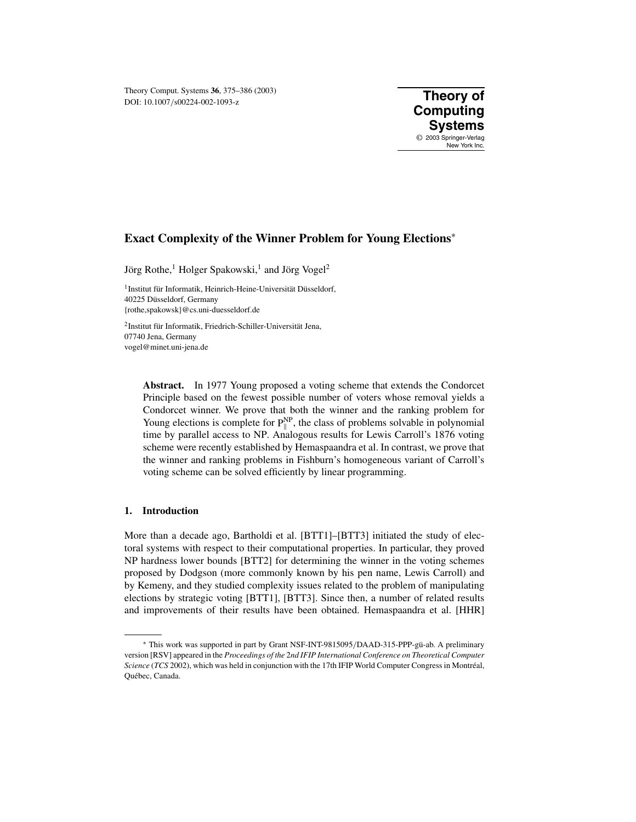DOI: 10.1007/s00224-002-1093-z Theory Comput. Systems **36**, 375–386 (2003) **Theory of Theory of** 

**Computing Systems** © 2003 Springer-Verlag New York Inc.

# **Exact Complexity of the Winner Problem for Young Elections**<sup>∗</sup>

Jörg Rothe,<sup>1</sup> Holger Spakowski,<sup>1</sup> and Jörg Vogel<sup>2</sup>

 $1$ Institut für Informatik, Heinrich-Heine-Universität Düsseldorf, 40225 Düsseldorf, Germany {rothe,spakowsk}@cs.uni-duesseldorf.de

 $2$ Institut für Informatik, Friedrich-Schiller-Universität Jena, 07740 Jena, Germany vogel@minet.uni-jena.de

**Abstract.** In 1977 Young proposed a voting scheme that extends the Condorcet Principle based on the fewest possible number of voters whose removal yields a Condorcet winner. We prove that both the winner and the ranking problem for Young elections is complete for  $P_{\parallel}^{NP}$ , the class of problems solvable in polynomial time by parallel access to NP. Analogous results for Lewis Carroll's 1876 voting scheme were recently established by Hemaspaandra et al. In contrast, we prove that the winner and ranking problems in Fishburn's homogeneous variant of Carroll's voting scheme can be solved efficiently by linear programming.

# **1. Introduction**

More than a decade ago, Bartholdi et al. [BTT1]–[BTT3] initiated the study of electoral systems with respect to their computational properties. In particular, they proved NP hardness lower bounds [BTT2] for determining the winner in the voting schemes proposed by Dodgson (more commonly known by his pen name, Lewis Carroll) and by Kemeny, and they studied complexity issues related to the problem of manipulating elections by strategic voting [BTT1], [BTT3]. Since then, a number of related results and improvements of their results have been obtained. Hemaspaandra et al. [HHR]

<sup>\*</sup> This work was supported in part by Grant NSF-INT-9815095/DAAD-315-PPP-gü-ab. A preliminary version [RSV] appeared in the *Proceedings of the* 2*nd IFIP International Conference on Theoretical Computer Science* (*TCS* 2002), which was held in conjunction with the 17th IFIP World Computer Congress in Montréal, Québec, Canada.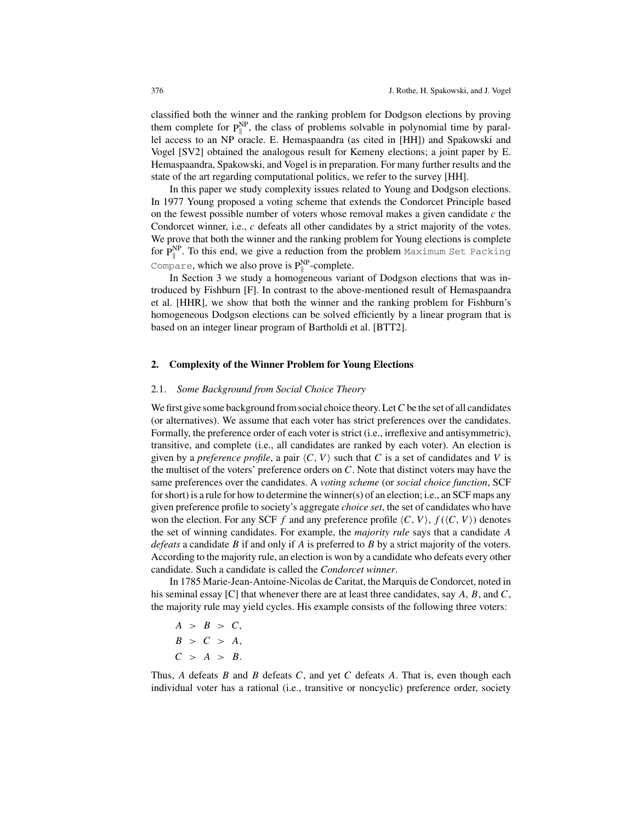classified both the winner and the ranking problem for Dodgson elections by proving them complete for  $P_{\parallel}^{NP}$ , the class of problems solvable in polynomial time by parallel access to an NP oracle. E. Hemaspaandra (as cited in [HH]) and Spakowski and Vogel [SV2] obtained the analogous result for Kemeny elections; a joint paper by E. Hemaspaandra, Spakowski, and Vogel is in preparation. For many further results and the state of the art regarding computational politics, we refer to the survey [HH].

In this paper we study complexity issues related to Young and Dodgson elections. In 1977 Young proposed a voting scheme that extends the Condorcet Principle based on the fewest possible number of voters whose removal makes a given candidate *c* the Condorcet winner, i.e., *c* defeats all other candidates by a strict majority of the votes. We prove that both the winner and the ranking problem for Young elections is complete for  $P_{\parallel}^{\text{NP}}$ . To this end, we give a reduction from the problem Maximum Set Packing Compare, which we also prove is  $P_{\parallel}^{NP}$ -complete.

In Section 3 we study a homogeneous variant of Dodgson elections that was introduced by Fishburn [F]. In contrast to the above-mentioned result of Hemaspaandra et al. [HHR], we show that both the winner and the ranking problem for Fishburn's homogeneous Dodgson elections can be solved efficiently by a linear program that is based on an integer linear program of Bartholdi et al. [BTT2].

# **2. Complexity of the Winner Problem for Young Elections**

## 2.1. *Some Background from Social Choice Theory*

We first give some background from social choice theory. Let C be the set of all candidates (or alternatives). We assume that each voter has strict preferences over the candidates. Formally, the preference order of each voter is strict (i.e., irreflexive and antisymmetric), transitive, and complete (i.e., all candidates are ranked by each voter). An election is given by a *preference profile*, a pair  $\langle C, V \rangle$  such that *C* is a set of candidates and *V* is the multiset of the voters' preference orders on *C*. Note that distinct voters may have the same preferences over the candidates. A *voting scheme* (or *social choice function*, SCF for short) is a rule for how to determine the winner(s) of an election; i.e., an SCF maps any given preference profile to society's aggregate *choice set*, the set of candidates who have won the election. For any SCF f and any preference profile  $\langle C, V \rangle$ ,  $f(\langle C, V \rangle)$  denotes the set of winning candidates. For example, the *majority rule* says that a candidate *A defeats* a candidate *B* if and only if *A* is preferred to *B* by a strict majority of the voters. According to the majority rule, an election is won by a candidate who defeats every other candidate. Such a candidate is called the *Condorcet winner*.

In 1785 Marie-Jean-Antoine-Nicolas de Caritat, the Marquis de Condorcet, noted in his seminal essay [C] that whenever there are at least three candidates, say *A*, *B*, and *C*, the majority rule may yield cycles. His example consists of the following three voters:

 $A > B > C$ ,  $B > C > A$  $C > A > B$ .

Thus, *A* defeats *B* and *B* defeats *C*, and yet *C* defeats *A*. That is, even though each individual voter has a rational (i.e., transitive or noncyclic) preference order, society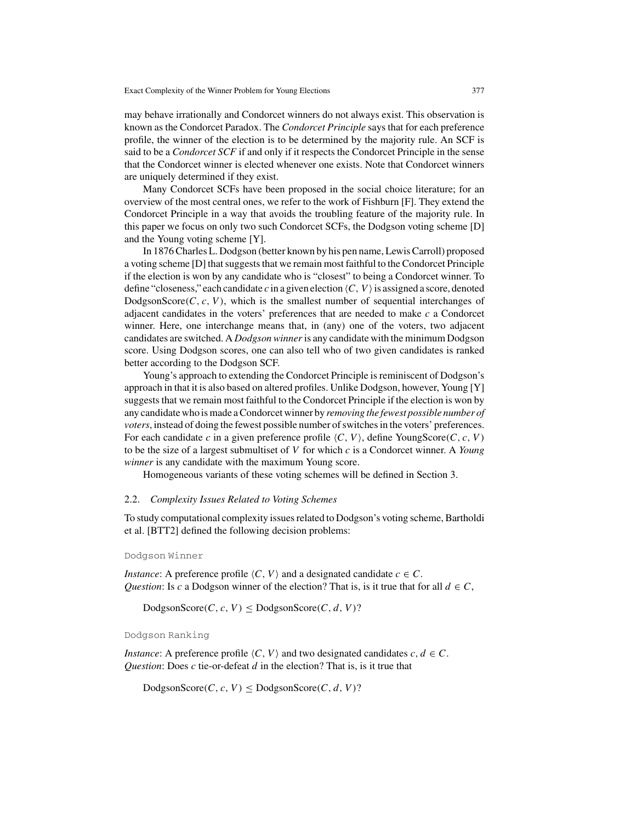may behave irrationally and Condorcet winners do not always exist. This observation is known as the Condorcet Paradox. The *Condorcet Principle* says that for each preference profile, the winner of the election is to be determined by the majority rule. An SCF is said to be a *Condorcet SCF* if and only if it respects the Condorcet Principle in the sense that the Condorcet winner is elected whenever one exists. Note that Condorcet winners are uniquely determined if they exist.

Many Condorcet SCFs have been proposed in the social choice literature; for an overview of the most central ones, we refer to the work of Fishburn [F]. They extend the Condorcet Principle in a way that avoids the troubling feature of the majority rule. In this paper we focus on only two such Condorcet SCFs, the Dodgson voting scheme [D] and the Young voting scheme [Y].

In 1876 Charles L. Dodgson (better known by his pen name, Lewis Carroll) proposed a voting scheme [D] that suggests that we remain most faithful to the Condorcet Principle if the election is won by any candidate who is "closest" to being a Condorcet winner. To define "closeness," each candidate  $c$  in a given election  $\langle C, V \rangle$  is assigned a score, denoted DodgsonScore $(C, c, V)$ , which is the smallest number of sequential interchanges of adjacent candidates in the voters' preferences that are needed to make *c* a Condorcet winner. Here, one interchange means that, in (any) one of the voters, two adjacent candidates are switched. A *Dodgson winner*is any candidate with the minimum Dodgson score. Using Dodgson scores, one can also tell who of two given candidates is ranked better according to the Dodgson SCF.

Young's approach to extending the Condorcet Principle is reminiscent of Dodgson's approach in that it is also based on altered profiles. Unlike Dodgson, however, Young [Y] suggests that we remain most faithful to the Condorcet Principle if the election is won by any candidate who is made a Condorcet winner by *removing the fewest possible number of voters*, instead of doing the fewest possible number of switches in the voters' preferences. For each candidate *c* in a given preference profile  $\langle C, V \rangle$ , define YoungScore $(C, c, V)$ to be the size of a largest submultiset of *V* for which *c* is a Condorcet winner. A *Young winner* is any candidate with the maximum Young score.

Homogeneous variants of these voting schemes will be defined in Section 3.

# 2.2. *Complexity Issues Related to Voting Schemes*

To study computational complexity issues related to Dodgson's voting scheme, Bartholdi et al. [BTT2] defined the following decision problems:

Dodgson Winner

*Instance*: A preference profile  $\langle C, V \rangle$  and a designated candidate  $c \in C$ . *Question*: Is *c* a Dodgson winner of the election? That is, is it true that for all  $d \in C$ ,

 $\text{DodgsonScore}(C, c, V) \leq \text{DodgsonScore}(C, d, V)$ ?

Dodgson Ranking

*Instance*: A preference profile  $\langle C, V \rangle$  and two designated candidates  $c, d \in C$ . *Question*: Does *c* tie-or-defeat *d* in the election? That is, is it true that

 $\text{DodgsonScore}(C, c, V) \leq \text{DodgsonScore}(C, d, V)$ ?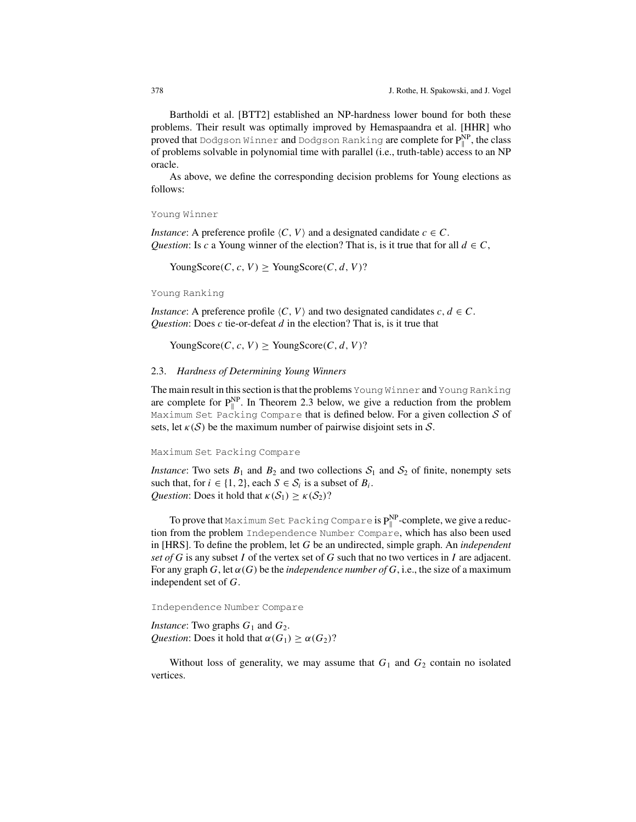Bartholdi et al. [BTT2] established an NP-hardness lower bound for both these problems. Their result was optimally improved by Hemaspaandra et al. [HHR] who proved that <code>Dodgson</code> <code>Winner</code> and <code>Dodgson</code> <code>Ranking</code> are complete for  $P_{\parallel}^{NP}$  , the class of problems solvable in polynomial time with parallel (i.e., truth-table) access to an NP oracle.

As above, we define the corresponding decision problems for Young elections as follows:

```
Young Winner
```
*Instance*: A preference profile  $\langle C, V \rangle$  and a designated candidate  $c \in C$ . *Question*: Is *c* a Young winner of the election? That is, is it true that for all  $d \in C$ ,

YoungScore $(C, c, V) \geq$ YoungScore $(C, d, V)$ ?

Young Ranking

*Instance*: A preference profile  $\langle C, V \rangle$  and two designated candidates  $c, d \in C$ . *Question*: Does *c* tie-or-defeat *d* in the election? That is, is it true that

YoungScore $(C, c, V) \geq$ YoungScore $(C, d, V)$ ?

#### 2.3. *Hardness of Determining Young Winners*

The main result in this section is that the problems Young Winner and Young Ranking are complete for  $P_{\parallel}^{NP}$ . In Theorem 2.3 below, we give a reduction from the problem Maximum Set Packing Compare that is defined below. For a given collection  $S$  of sets, let  $\kappa(S)$  be the maximum number of pairwise disjoint sets in S.

Maximum Set Packing Compare

*Instance*: Two sets  $B_1$  and  $B_2$  and two collections  $S_1$  and  $S_2$  of finite, nonempty sets such that, for  $i \in \{1, 2\}$ , each  $S \in S_i$  is a subset of  $B_i$ . *Question*: Does it hold that  $\kappa(S_1) \geq \kappa(S_2)$ ?

To prove that Maximum Set Packing Compare is  $P_{\parallel}^{\text{NP}}$ -complete, we give a reduction from the problem Independence Number Compare, which has also been used in [HRS]. To define the problem, let *G* be an undirected, simple graph. An *independent set of G* is any subset *I* of the vertex set of *G* such that no two vertices in *I* are adjacent. For any graph *G*, let  $\alpha(G)$  be the *independence number of G*, i.e., the size of a maximum independent set of *G*.

Independence Number Compare

*Instance*: Two graphs  $G_1$  and  $G_2$ . *Question*: Does it hold that  $\alpha(G_1) \geq \alpha(G_2)$ ?

Without loss of generality, we may assume that  $G_1$  and  $G_2$  contain no isolated vertices.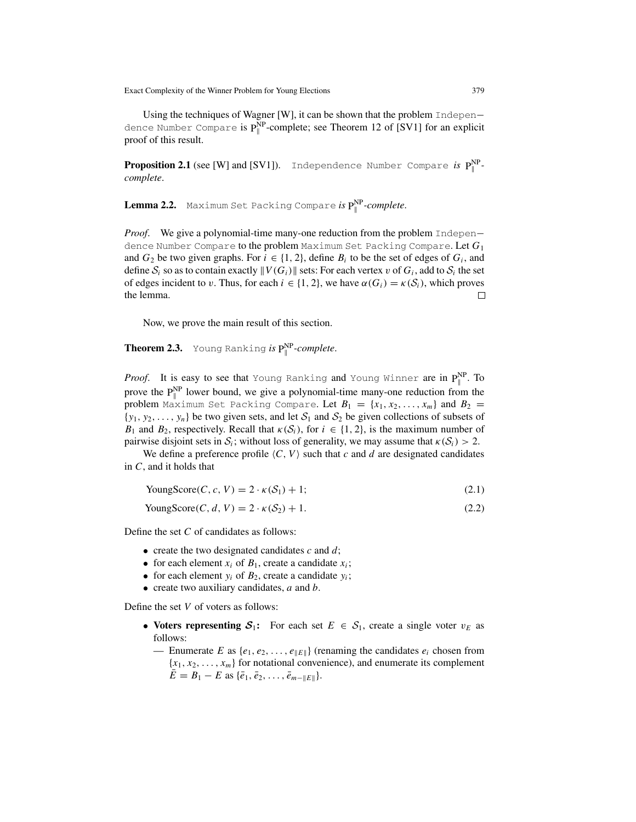Using the techniques of Wagner [W], it can be shown that the problem Indepen– dence Number Compare is  $P_{\parallel}^{\text{NP}}$ -complete; see Theorem 12 of [SV1] for an explicit proof of this result.

**Proposition 2.1** (see [W] and [SV1]). Independence Number Compare  $i$ s  $P_{\parallel}^{NP}$ *complete*.

**Lemma 2.2.** Maximum Set Packing Compare *is* PNP *-complete*.

*Proof.* We give a polynomial-time many-one reduction from the problem Indepen– dence Number Compare to the problem Maximum Set Packing Compare. Let *G*<sup>1</sup> and  $G_2$  be two given graphs. For  $i \in \{1, 2\}$ , define  $B_i$  to be the set of edges of  $G_i$ , and define  $S_i$  so as to contain exactly  $\|V(G_i)\|$  sets: For each vertex v of  $G_i$ , add to  $S_i$  the set of edges incident to v. Thus, for each  $i \in \{1, 2\}$ , we have  $\alpha(G_i) = \kappa(S_i)$ , which proves the lemma. П

Now, we prove the main result of this section.

**Theorem 2.3.** Young Ranking *is*  $P_{\parallel}^{NP}$ -complete.

*Proof.* It is easy to see that Young Ranking and Young Winner are in  $P_{\parallel}^{\text{NP}}$ . To prove the  $P_{\parallel}^{NP}$  lower bound, we give a polynomial-time many-one reduction from the problem Maximum Set Packing Compare. Let  $B_1 = \{x_1, x_2, ..., x_m\}$  and  $B_2 =$  $\{y_1, y_2, \ldots, y_n\}$  be two given sets, and let  $S_1$  and  $S_2$  be given collections of subsets of *B*<sub>1</sub> and *B*<sub>2</sub>, respectively. Recall that  $\kappa(S_i)$ , for  $i \in \{1, 2\}$ , is the maximum number of pairwise disjoint sets in  $S_i$ ; without loss of generality, we may assume that  $\kappa(S_i) > 2$ .

We define a preference profile  $\langle C, V \rangle$  such that *c* and *d* are designated candidates in *C*, and it holds that

$$
YoungScore(C, c, V) = 2 \cdot \kappa(S_1) + 1;
$$
\n(2.1)

$$
YoungScore(C, d, V) = 2 \cdot \kappa(S_2) + 1. \tag{2.2}
$$

Define the set *C* of candidates as follows:

- create the two designated candidates *c* and *d*;
- for each element  $x_i$  of  $B_1$ , create a candidate  $x_i$ ;
- for each element  $y_i$  of  $B_2$ , create a candidate  $y_i$ ;
- create two auxiliary candidates, *a* and *b*.

Define the set *V* of voters as follows:

- **Voters representing**  $S_1$ **:** For each set  $E \in S_1$ , create a single voter  $v_E$  as follows:
	- Enumerate *E* as  $\{e_1, e_2, \ldots, e_{\|E\|}\}\$  (renaming the candidates  $e_i$  chosen from  ${x_1, x_2, \ldots, x_m}$  for notational convenience), and enumerate its complement  $\bar{E} = B_1 - E$  as  $\{\bar{e}_1, \bar{e}_2, \ldots, \bar{e}_{m-\|E\|}\}.$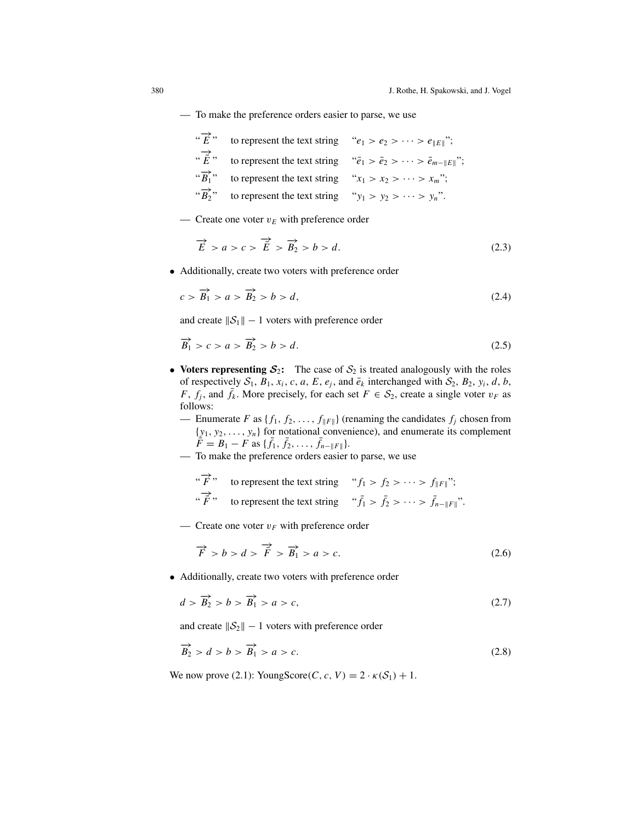— To make the preference orders easier to parse, we use

| $\alpha \overrightarrow{E}$  | to represent the text string " $e_1 > e_2 > \cdots > e_{\Vert E \Vert}$ ";             |  |
|------------------------------|----------------------------------------------------------------------------------------|--|
| $\overrightarrow{E}$ ,       | to represent the text string " $\bar{e}_1 > \bar{e}_2 > \cdots > \bar{e}_{m-\ E\ }$ "; |  |
| $\lq \overrightarrow{B_1}$ , | to represent the text string " $x_1 > x_2 > \cdots > x_m$ ";                           |  |
| $\lq \overrightarrow{B_2}$ " | to represent the text string " $y_1 > y_2 > \cdots > y_n$ ".                           |  |

— Create one voter  $v_E$  with preference order

$$
\overrightarrow{E} > a > c > \overrightarrow{E} > B_2 > b > d.
$$
 (2.3)

• Additionally, create two voters with preference order

$$
c > \overrightarrow{B_1} > a > \overrightarrow{B_2} > b > d,\tag{2.4}
$$

and create  $\|\mathcal{S}_1\| - 1$  voters with preference order

$$
\overrightarrow{B_1} > c > a > \overrightarrow{B_2} > b > d. \tag{2.5}
$$

- **Voters representing**  $S_2$ **:** The case of  $S_2$  is treated analogously with the roles of respectively  $S_1$ ,  $B_1$ ,  $x_i$ ,  $c$ ,  $a$ ,  $E$ ,  $e_j$ , and  $\bar{e}_k$  interchanged with  $S_2$ ,  $B_2$ ,  $y_i$ ,  $d$ ,  $b$ , *F*,  $f_j$ , and  $\bar{f_k}$ . More precisely, for each set  $F \in S_2$ , create a single voter  $v_F$  as follows:
	- Enumerate *F* as  $\{f_1, f_2, \ldots, f_{\|F\|}\}\$  (renaming the candidates  $f_j$  chosen from  ${y_1, y_2, \ldots, y_n}$  for notational convenience), and enumerate its complement  $\bar{F} = B_1 - F$  as { $\bar{f}_1, \bar{f}_2, \ldots, \bar{f}_{n-\|F\|}$ }.
	- To make the preference orders easier to parse, we use

$$
\overrightarrow{F}
$$
 to represent the text string  $f_1 > f_2 > \cdots > f_{\|F\|}$ ;  
\n $\overrightarrow{F}$ , to represent the text string  $\overrightarrow{f_1} > \overrightarrow{f_2} > \cdots > \overrightarrow{f_{n-\|F\|}}$ .

— Create one voter  $v_F$  with preference order

$$
\overrightarrow{F} > b > d > \overrightarrow{F} > \overrightarrow{B_1} > a > c.
$$
 (2.6)

• Additionally, create two voters with preference order

$$
d > \overrightarrow{B_2} > b > \overrightarrow{B_1} > a > c,\tag{2.7}
$$

and create  $\|\mathcal{S}_2\| - 1$  voters with preference order

$$
\overrightarrow{B_2} > d > b > \overrightarrow{B_1} > a > c.
$$
 (2.8)

We now prove (2.1): YoungScore $(C, c, V) = 2 \cdot \kappa(S_1) + 1$ .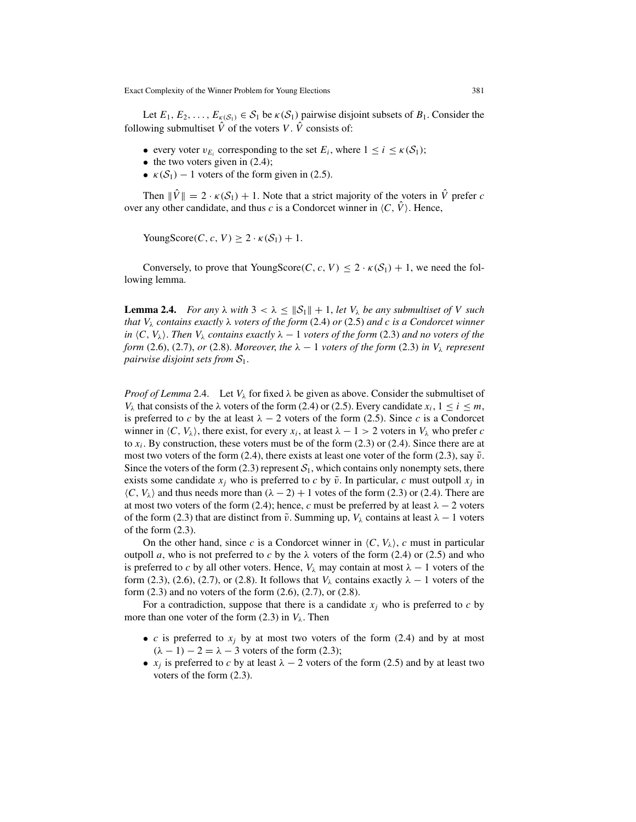Let  $E_1, E_2, \ldots, E_{\kappa(S_1)} \in S_1$  be  $\kappa(S_1)$  pairwise disjoint subsets of  $B_1$ . Consider the following submultiset  $\hat{V}$  of the voters  $V$ .  $\hat{V}$  consists of:

- every voter  $v_{E_i}$  corresponding to the set  $E_i$ , where  $1 \le i \le \kappa(S_1)$ ;
- the two voters given in  $(2.4)$ ;
- $\kappa(S_1) 1$  voters of the form given in (2.5).

Then  $\|\hat{V}\| = 2 \cdot \kappa(S_1) + 1$ . Note that a strict majority of the voters in  $\hat{V}$  prefer *c* over any other candidate, and thus *c* is a Condorcet winner in  $\langle C, V \rangle$ . Hence,

$$
YoungScore(C, c, V) \ge 2 \cdot \kappa(S_1) + 1.
$$

Conversely, to prove that YoungScore(*C*, *c*, *V*)  $\leq 2 \cdot \kappa(S_1) + 1$ , we need the following lemma.

**Lemma 2.4.** *For any*  $\lambda$  *with*  $3 < \lambda \leq ||\mathcal{S}_1|| + 1$ , *let*  $V_\lambda$  *be any submultiset of* V *such that*  $V_\lambda$  *contains exactly*  $\lambda$  *voters of the form* (2.4) *or* (2.5) *and c is a Condorcet winner in*  $\langle C, V_\lambda \rangle$ . *Then*  $V_\lambda$  *contains exactly*  $\lambda - 1$  *voters of the form* (2.3) *and no voters of the form* (2.6), (2.7), *or* (2.8). *Moreover, the*  $\lambda - 1$  *voters of the form* (2.3) *in*  $V_{\lambda}$  *represent pairwise disjoint sets from*  $S_1$ .

*Proof of Lemma* 2.4. Let  $V_\lambda$  for fixed  $\lambda$  be given as above. Consider the submultiset of *V*<sub> $\lambda$ </sub> that consists of the  $\lambda$  voters of the form (2.4) or (2.5). Every candidate  $x_i$ ,  $1 \le i \le m$ , is preferred to *c* by the at least  $\lambda - 2$  voters of the form (2.5). Since *c* is a Condorcet winner in  $\langle C, V_{\lambda} \rangle$ , there exist, for every  $x_i$ , at least  $\lambda - 1 > 2$  voters in  $V_{\lambda}$  who prefer *c* to  $x_i$ . By construction, these voters must be of the form  $(2.3)$  or  $(2.4)$ . Since there are at most two voters of the form (2.4), there exists at least one voter of the form (2.3), say  $\tilde{v}$ . Since the voters of the form (2.3) represent  $S_1$ , which contains only nonempty sets, there exists some candidate  $x_i$  who is preferred to *c* by  $\tilde{v}$ . In particular, *c* must outpoll  $x_i$  in  $\langle C, V_{\lambda} \rangle$  and thus needs more than  $(\lambda - 2) + 1$  votes of the form (2.3) or (2.4). There are at most two voters of the form (2.4); hence, *c* must be preferred by at least  $\lambda - 2$  voters of the form (2.3) that are distinct from  $\tilde{v}$ . Summing up,  $V_{\lambda}$  contains at least  $\lambda - 1$  voters of the form (2.3).

On the other hand, since *c* is a Condorcet winner in  $\langle C, V_{\lambda} \rangle$ , *c* must in particular outpoll *a*, who is not preferred to *c* by the  $\lambda$  voters of the form (2.4) or (2.5) and who is preferred to *c* by all other voters. Hence,  $V_\lambda$  may contain at most  $\lambda - 1$  voters of the form (2.3), (2.6), (2.7), or (2.8). It follows that  $V_\lambda$  contains exactly  $\lambda - 1$  voters of the form (2.3) and no voters of the form (2.6), (2.7), or (2.8).

For a contradiction, suppose that there is a candidate  $x_i$  who is preferred to  $c$  by more than one voter of the form  $(2.3)$  in  $V_\lambda$ . Then

- *c* is preferred to  $x_j$  by at most two voters of the form (2.4) and by at most  $(\lambda - 1) - 2 = \lambda - 3$  voters of the form (2.3);
- $x_i$  is preferred to *c* by at least  $\lambda 2$  voters of the form (2.5) and by at least two voters of the form (2.3).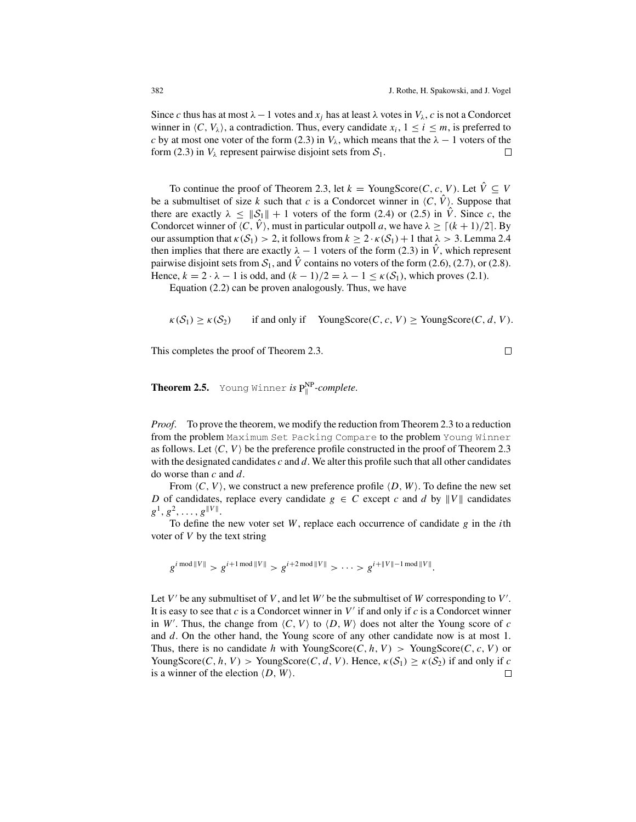Since *c* thus has at most  $\lambda - 1$  votes and  $x_i$  has at least  $\lambda$  votes in  $V_\lambda$ , *c* is not a Condorcet winner in  $\langle C, V_{\lambda} \rangle$ , a contradiction. Thus, every candidate  $x_i, 1 \le i \le m$ , is preferred to *c* by at most one voter of the form (2.3) in  $V_\lambda$ , which means that the  $\lambda - 1$  voters of the form (2.3) in  $V_{\lambda}$  represent pairwise disjoint sets from  $S_1$ .  $\Box$ 

To continue the proof of Theorem 2.3, let  $k = \text{YoungScore}(C, c, V)$ . Let  $\hat{V} \subseteq V$ be a submultiset of size *k* such that *c* is a Condorcet winner in  $\langle C, \hat{V} \rangle$ . Suppose that there are exactly  $\lambda \leq \|\mathcal{S}_1\| + 1$  voters of the form (2.4) or (2.5) in *V*. Since *c*, the Condorcet winner of  $\langle C, V \rangle$ , must in particular outpoll *a*, we have  $\lambda \geq \lceil (k+1)/2 \rceil$ . By our assumption that  $\kappa(S_1) > 2$ , it follows from  $k \geq 2 \cdot \kappa(S_1) + 1$  that  $\lambda > 3$ . Lemma 2.4 then implies that there are exactly  $\lambda - 1$  voters of the form (2.3) in  $\hat{V}$ , which represent pairwise disjoint sets from  $S_1$ , and  $\hat{V}$  contains no voters of the form (2.6), (2.7), or (2.8). Hence,  $k = 2 \cdot \lambda - 1$  is odd, and  $(k - 1)/2 = \lambda - 1 \le \kappa(\mathcal{S}_1)$ , which proves (2.1).

Equation (2.2) can be proven analogously. Thus, we have

$$
\kappa(S_1) \ge \kappa(S_2)
$$
 if and only if YoungScore(C, c, V)  $\ge$  YoungScore(C, d, V).

This completes the proof of Theorem 2.3.

 $\Box$ 

# **Theorem 2.5.** Young Winner *is*  $P_{\parallel}^{NP}$ -complete.

*Proof.* To prove the theorem, we modify the reduction from Theorem 2.3 to a reduction from the problem Maximum Set Packing Compare to the problem Young Winner as follows. Let  $\langle C, V \rangle$  be the preference profile constructed in the proof of Theorem 2.3 with the designated candidates *c* and *d*. We alter this profile such that all other candidates do worse than *c* and *d*.

From  $\langle C, V \rangle$ , we construct a new preference profile  $\langle D, W \rangle$ . To define the new set *D* of candidates, replace every candidate  $g \in C$  except *c* and *d* by  $||V||$  candidates  $g^1, g^2, \ldots, g^{\|V\|}.$ 

To define the new voter set *W*, replace each occurrence of candidate *g* in the *i*th voter of *V* by the text string

$$
g^{i \bmod \|V\|} > g^{i+1 \bmod \|V\|} > g^{i+2 \bmod \|V\|} > \cdots > g^{i+\|V\|-1 \bmod \|V\|}.
$$

Let  $V'$  be any submultiset of  $V$ , and let  $W'$  be the submultiset of  $W$  corresponding to  $V'$ . It is easy to see that  $c$  is a Condorcet winner in  $V'$  if and only if  $c$  is a Condorcet winner in  $W'$ . Thus, the change from  $\langle C, V \rangle$  to  $\langle D, W \rangle$  does not alter the Young score of *c* and *d*. On the other hand, the Young score of any other candidate now is at most 1. Thus, there is no candidate *h* with YoungScore(*C*, *h*, *V*) > YoungScore(*C*, *c*, *V*) or YoungScore(*C*, *h*, *V*) > YoungScore(*C*, *d*, *V*). Hence,  $\kappa(S_1) \geq \kappa(S_2)$  if and only if *c* is a winner of the election  $\langle D, W \rangle$ .  $\Box$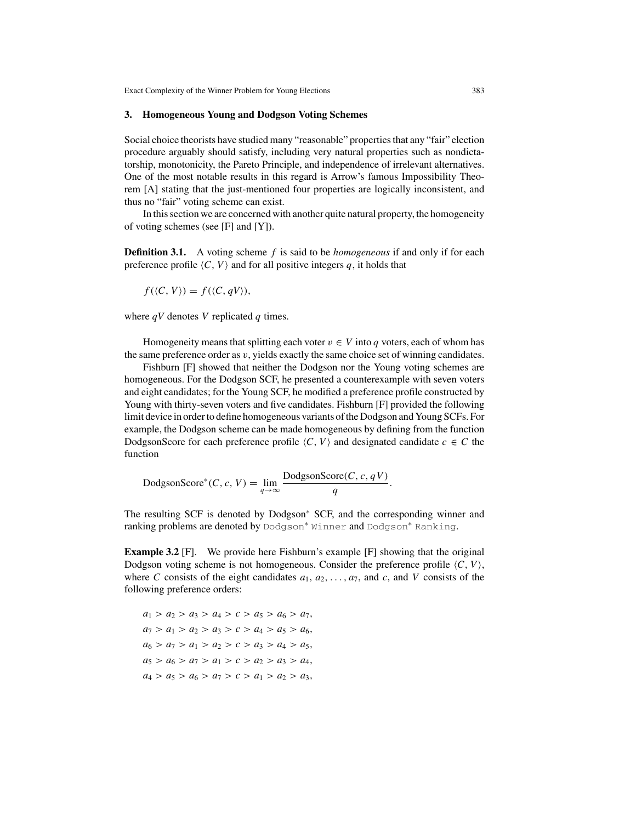## **3. Homogeneous Young and Dodgson Voting Schemes**

Social choice theorists have studied many "reasonable" properties that any "fair" election procedure arguably should satisfy, including very natural properties such as nondictatorship, monotonicity, the Pareto Principle, and independence of irrelevant alternatives. One of the most notable results in this regard is Arrow's famous Impossibility Theorem [A] stating that the just-mentioned four properties are logically inconsistent, and thus no "fair" voting scheme can exist.

In this section we are concerned with another quite natural property, the homogeneity of voting schemes (see [F] and [Y]).

**Definition 3.1.** A voting scheme f is said to be *homogeneous* if and only if for each preference profile  $\langle C, V \rangle$  and for all positive integers q, it holds that

$$
f(\langle C, V \rangle) = f(\langle C, qV \rangle),
$$

where *qV* denotes *V* replicated *q* times.

Homogeneity means that splitting each voter  $v \in V$  into q voters, each of whom has the same preference order as  $v$ , yields exactly the same choice set of winning candidates.

Fishburn [F] showed that neither the Dodgson nor the Young voting schemes are homogeneous. For the Dodgson SCF, he presented a counterexample with seven voters and eight candidates; for the Young SCF, he modified a preference profile constructed by Young with thirty-seven voters and five candidates. Fishburn [F] provided the following limit device in order to define homogeneous variants of the Dodgson and Young SCFs. For example, the Dodgson scheme can be made homogeneous by defining from the function DodgsonScore for each preference profile  $\langle C, V \rangle$  and designated candidate  $c \in C$  the function

$$
DodgsonScore^*(C, c, V) = \lim_{q \to \infty} \frac{DodgsonScore(C, c, qV)}{q}.
$$

The resulting SCF is denoted by Dodgson<sup>∗</sup> SCF, and the corresponding winner and ranking problems are denoted by Dodgson<sup>∗</sup> Winner and Dodgson<sup>∗</sup> Ranking.

**Example 3.2** [F]. We provide here Fishburn's example [F] showing that the original Dodgson voting scheme is not homogeneous. Consider the preference profile  $\langle C, V \rangle$ , where *C* consists of the eight candidates  $a_1, a_2, \ldots, a_7$ , and *c*, and *V* consists of the following preference orders:

 $a_1 > a_2 > a_3 > a_4 > c > a_5 > a_6 > a_7$  $a_7 > a_1 > a_2 > a_3 > c > a_4 > a_5 > a_6$  $a_6 > a_7 > a_1 > a_2 > c > a_3 > a_4 > a_5$  $a_5 > a_6 > a_7 > a_1 > c > a_2 > a_3 > a_4$  $a_4 > a_5 > a_6 > a_7 > c > a_1 > a_2 > a_3$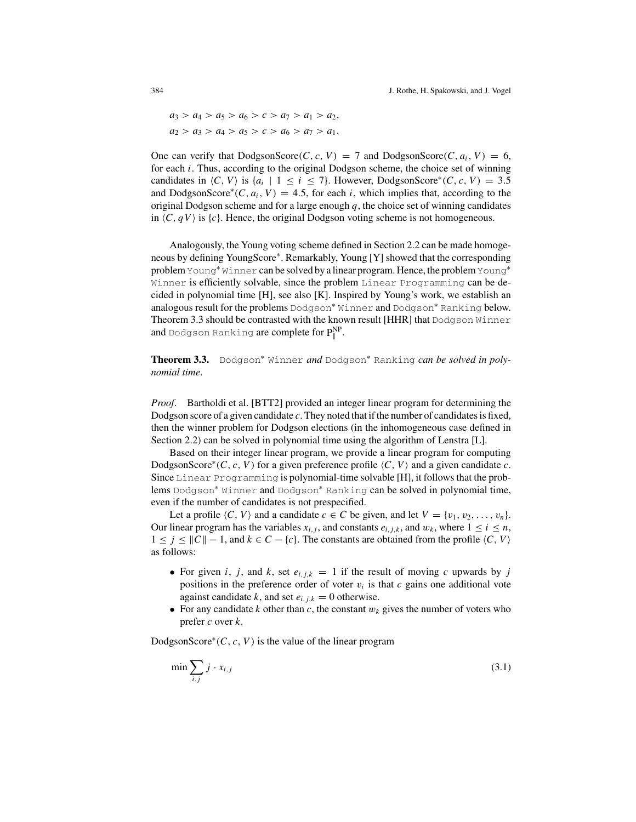$a_3 > a_4 > a_5 > a_6 > c > a_7 > a_1 > a_2$  $a_2 > a_3 > a_4 > a_5 > c > a_6 > a_7 > a_1$ .

One can verify that DodgsonScore(*C*, *c*, *V*) = 7 and DodgsonScore(*C*, *a<sub>i</sub>*, *V*) = 6, for each *i*. Thus, according to the original Dodgson scheme, the choice set of winning candidates in  $\langle C, V \rangle$  is  $\{a_i \mid 1 \le i \le 7\}$ . However, DodgsonScore<sup>\*</sup> $(C, c, V) = 3.5$ and DodgsonScore<sup>\*</sup>(*C*,  $a_i$ , *V*) = 4.5, for each *i*, which implies that, according to the original Dodgson scheme and for a large enough *q*, the choice set of winning candidates in  $\langle C, qV \rangle$  is  $\{c\}$ . Hence, the original Dodgson voting scheme is not homogeneous.

Analogously, the Young voting scheme defined in Section 2.2 can be made homogeneous by defining YoungScore∗. Remarkably, Young [Y] showed that the corresponding problem Young<sup>∗</sup> Winner can be solved by a linear program. Hence, the problem Young<sup>∗</sup> Winner is efficiently solvable, since the problem Linear Programming can be decided in polynomial time [H], see also [K]. Inspired by Young's work, we establish an analogous result for the problems Dodgson<sup>∗</sup> Winner and Dodgson<sup>∗</sup> Ranking below. Theorem 3.3 should be contrasted with the known result [HHR] that Dodgson Winner and Dodgson Ranking are complete for  $P_{\parallel}^{\text{NP}}.$ 

**Theorem 3.3.** Dodgson<sup>∗</sup> Winner *and* Dodgson<sup>∗</sup> Ranking *can be solved in polynomial time*.

*Proof*. Bartholdi et al. [BTT2] provided an integer linear program for determining the Dodgson score of a given candidate *c*. They noted that if the number of candidates is fixed, then the winner problem for Dodgson elections (in the inhomogeneous case defined in Section 2.2) can be solved in polynomial time using the algorithm of Lenstra [L].

Based on their integer linear program, we provide a linear program for computing DodgsonScore<sup>∗</sup>(*C*, *c*, *V*) for a given preference profile  $\langle C, V \rangle$  and a given candidate *c*. Since Linear Programming is polynomial-time solvable [H], it follows that the problems Dodgson<sup>∗</sup> Winner and Dodgson<sup>∗</sup> Ranking can be solved in polynomial time, even if the number of candidates is not prespecified.

Let a profile  $\langle C, V \rangle$  and a candidate  $c \in C$  be given, and let  $V = \{v_1, v_2, \ldots, v_n\}.$ Our linear program has the variables  $x_{i,j}$ , and constants  $e_{i,j,k}$ , and  $w_k$ , where  $1 \le i \le n$ ,  $1 \leq j \leq ||C|| - 1$ , and  $k \in C - \{c\}$ . The constants are obtained from the profile  $\langle C, V \rangle$ as follows:

- For given *i*, *j*, and *k*, set  $e_{i,j,k} = 1$  if the result of moving *c* upwards by *j* positions in the preference order of voter  $v_i$  is that  $c$  gains one additional vote against candidate *k*, and set  $e_{i,j,k} = 0$  otherwise.
- For any candidate  $k$  other than  $c$ , the constant  $w_k$  gives the number of voters who prefer *c* over *k*.

DodgsonScore<sup>\*</sup>( $C, c, V$ ) is the value of the linear program

$$
\min \sum_{i,j} j \cdot x_{i,j} \tag{3.1}
$$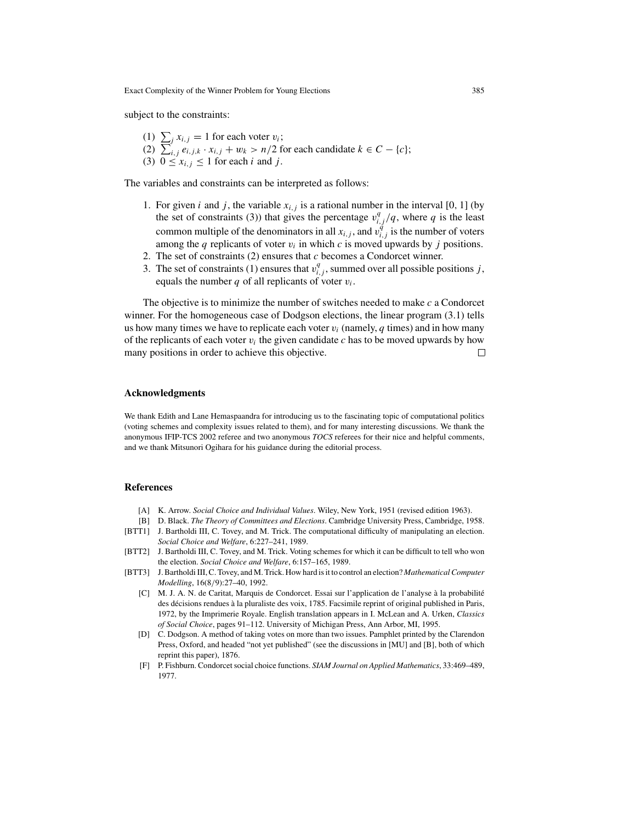subject to the constraints:

\n- (1) 
$$
\sum_j x_{i,j} = 1
$$
 for each voter  $v_i$ ;
\n- (2)  $\sum_{i,j} e_{i,j,k} \cdot x_{i,j} + w_k > n/2$  for each candidate  $k \in C - \{c\}$ ;
\n- (3)  $0 \leq x_{i,j} \leq 1$  for each  $i$  and  $j$ .
\n

The variables and constraints can be interpreted as follows:

- 1. For given *i* and *j*, the variable  $x_{i,j}$  is a rational number in the interval [0, 1] (by the set of constraints (3)) that gives the percentage  $v_{i,j}^q/q$ , where *q* is the least common multiple of the denominators in all  $x_{i,j}$ , and  $v_{i,j}^q$  is the number of voters among the  $q$  replicants of voter  $v_i$  in which  $c$  is moved upwards by  $j$  positions.
- 2. The set of constraints (2) ensures that *c* becomes a Condorcet winner.
- 3. The set of constraints (1) ensures that  $v_{i,j}^q$ , summed over all possible positions *j*, equals the number  $q$  of all replicants of voter  $v_i$ .

The objective is to minimize the number of switches needed to make *c* a Condorcet winner. For the homogeneous case of Dodgson elections, the linear program (3.1) tells us how many times we have to replicate each voter  $v_i$  (namely,  $q$  times) and in how many of the replicants of each voter  $v_i$  the given candidate *c* has to be moved upwards by how many positions in order to achieve this objective.  $\Box$ 

#### **Acknowledgments**

We thank Edith and Lane Hemaspaandra for introducing us to the fascinating topic of computational politics (voting schemes and complexity issues related to them), and for many interesting discussions. We thank the anonymous IFIP-TCS 2002 referee and two anonymous *TOCS* referees for their nice and helpful comments, and we thank Mitsunori Ogihara for his guidance during the editorial process.

#### **References**

- [A] K. Arrow. *Social Choice and Individual Values*. Wiley, New York, 1951 (revised edition 1963).
- [B] D. Black. *The Theory of Committees and Elections*. Cambridge University Press, Cambridge, 1958.
- [BTT1] J. Bartholdi III, C. Tovey, and M. Trick. The computational difficulty of manipulating an election. *Social Choice and Welfare*, 6:227–241, 1989.
- [BTT2] J. Bartholdi III, C. Tovey, and M. Trick. Voting schemes for which it can be difficult to tell who won the election. *Social Choice and Welfare*, 6:157–165, 1989.
- [BTT3] J. Bartholdi III, C. Tovey, and M. Trick. How hard is it to control an election? *Mathematical Computer Modelling*, 16(8/9):27–40, 1992.
	- [C] M. J. A. N. de Caritat, Marquis de Condorcet. Essai sur l'application de l'analyse à la probabilité des décisions rendues à la pluraliste des voix, 1785. Facsimile reprint of original published in Paris, 1972, by the Imprimerie Royale. English translation appears in I. McLean and A. Urken, *Classics of Social Choice*, pages 91–112. University of Michigan Press, Ann Arbor, MI, 1995.
	- [D] C. Dodgson. A method of taking votes on more than two issues. Pamphlet printed by the Clarendon Press, Oxford, and headed "not yet published" (see the discussions in [MU] and [B], both of which reprint this paper), 1876.
	- [F] P. Fishburn. Condorcet social choice functions. *SIAM Journal on Applied Mathematics*, 33:469–489, 1977.